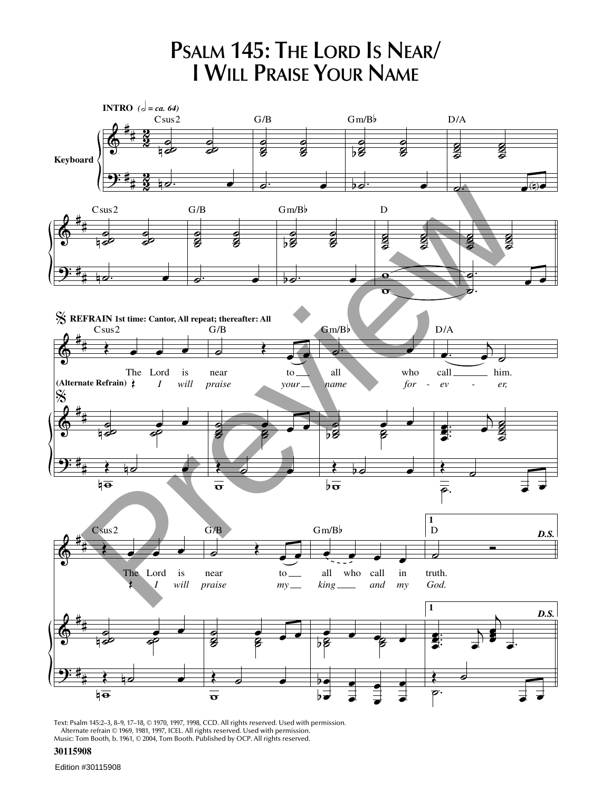

Text: Psalm 145:2–3, 8–9, 17–18, © 1970, 1997, 1998, CCD. All rights reserved. Used with permission. Alternate refrain © 1969, 1981, 1997, ICEL. All rights reserved. Used with permission. Music: Tom Booth, b. 1961, © 2004, Tom Booth. Published by OCP. All rights reserved.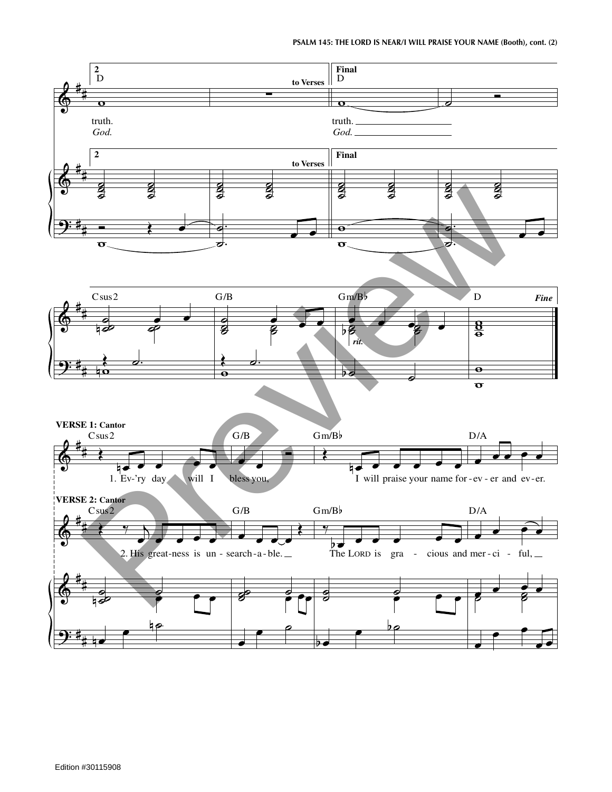